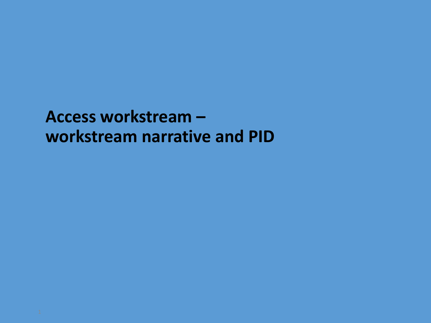**Access workstream – workstream narrative and PID**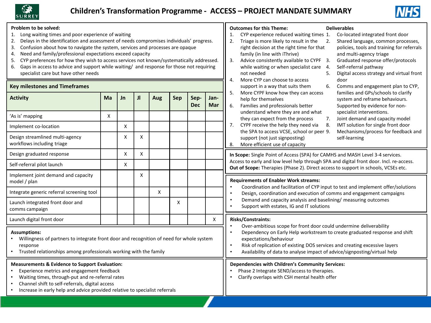



| Problem to be solved:<br>Long waiting times and poor experience of waiting<br>Delays in the identification and assessment of needs compromises individuals' progress.<br>2.<br>Confusion about how to navigate the system, services and processes are opaque<br>3.<br>Need and family/professional expectations exceed capacity<br>4.<br>CYP preferences for how they wish to access services not known/systematically addressed.<br>5.<br>Gaps in access to advice and support while waiting/ and response for those not requiring<br>6.<br>specialist care but have other needs<br><b>Key milestones and Timeframes</b> |    |    |    |     |     |                    | <b>Deliverables</b><br><b>Outcomes for this Theme:</b><br>Co-located integrated front door<br>CYP experience reduced waiting times 1.<br>1.<br>Triage is more likely to result in the<br>Shared language, common processes,<br>2.<br>$\overline{2}$ .<br>right decision at the right time for that<br>policies, tools and training for referrals<br>family (in line with iThrive)<br>and multi-agency triage<br>Advice consistently available to CYPF 3.<br>Graduated response offer/protocols<br>3.<br>while waiting or when specialist care<br>Self-referral pathway<br>- 4.<br>Digital access strategy and virtual front<br>not needed<br>5.<br>More CYP can choose to access<br>door<br>4.<br>Comms and engagement plan to CYP,<br>support in a way that suits them<br>6. |                                                                                                                                                                                                                                                                                                                                                                                                                                                                                                                                                                                                                                               |
|---------------------------------------------------------------------------------------------------------------------------------------------------------------------------------------------------------------------------------------------------------------------------------------------------------------------------------------------------------------------------------------------------------------------------------------------------------------------------------------------------------------------------------------------------------------------------------------------------------------------------|----|----|----|-----|-----|--------------------|-------------------------------------------------------------------------------------------------------------------------------------------------------------------------------------------------------------------------------------------------------------------------------------------------------------------------------------------------------------------------------------------------------------------------------------------------------------------------------------------------------------------------------------------------------------------------------------------------------------------------------------------------------------------------------------------------------------------------------------------------------------------------------|-----------------------------------------------------------------------------------------------------------------------------------------------------------------------------------------------------------------------------------------------------------------------------------------------------------------------------------------------------------------------------------------------------------------------------------------------------------------------------------------------------------------------------------------------------------------------------------------------------------------------------------------------|
| <b>Activity</b>                                                                                                                                                                                                                                                                                                                                                                                                                                                                                                                                                                                                           | Ma | Jn | JI | Aug | Sep | Sep-<br><b>Dec</b> | Jan-<br>Mar                                                                                                                                                                                                                                                                                                                                                                                                                                                                                                                                                                                                                                                                                                                                                                   | families and GPs/schools to clarify<br>5.<br>More CYPF know how they can access<br>help for themselves<br>system and reframe behaviours.<br>Families and professionals better<br>Supported by evidence for non-<br>6.<br>understand where they are and what<br>specialist interventions.<br>they can expect from the process<br>Joint demand and capacity model<br>7.<br>CYPF receive the help they need via<br>IMT solution for single front door<br>7.<br>8.<br>the SPA to access VCSE, school or peer 9.<br>Mechanisms/process for feedback and<br>support (not just signposting)<br>self-learning<br>More efficient use of capacity<br>8. |
| 'As is' mapping                                                                                                                                                                                                                                                                                                                                                                                                                                                                                                                                                                                                           | X  |    |    |     |     |                    |                                                                                                                                                                                                                                                                                                                                                                                                                                                                                                                                                                                                                                                                                                                                                                               |                                                                                                                                                                                                                                                                                                                                                                                                                                                                                                                                                                                                                                               |
| Implement co-location                                                                                                                                                                                                                                                                                                                                                                                                                                                                                                                                                                                                     |    | X  |    |     |     |                    |                                                                                                                                                                                                                                                                                                                                                                                                                                                                                                                                                                                                                                                                                                                                                                               |                                                                                                                                                                                                                                                                                                                                                                                                                                                                                                                                                                                                                                               |
| Design streamlined multi-agency<br>workflows including triage                                                                                                                                                                                                                                                                                                                                                                                                                                                                                                                                                             |    | X  | Χ  |     |     |                    |                                                                                                                                                                                                                                                                                                                                                                                                                                                                                                                                                                                                                                                                                                                                                                               |                                                                                                                                                                                                                                                                                                                                                                                                                                                                                                                                                                                                                                               |
| Design graduated response                                                                                                                                                                                                                                                                                                                                                                                                                                                                                                                                                                                                 |    | X  | X  |     |     |                    |                                                                                                                                                                                                                                                                                                                                                                                                                                                                                                                                                                                                                                                                                                                                                                               | In Scope: Single Point of Access (SPA) for CAMHS and MASH Level 3-4 services.<br>Access to early and low level help through SPA and digital front door. Incl. re-access.<br>Out of Scope: Therapies (Phase 2). Direct access to support in schools, VCSEs etc.                                                                                                                                                                                                                                                                                                                                                                                |
| Self-referral pilot launch                                                                                                                                                                                                                                                                                                                                                                                                                                                                                                                                                                                                |    | X  |    |     |     |                    |                                                                                                                                                                                                                                                                                                                                                                                                                                                                                                                                                                                                                                                                                                                                                                               |                                                                                                                                                                                                                                                                                                                                                                                                                                                                                                                                                                                                                                               |
| Implement joint demand and capacity<br>model / plan                                                                                                                                                                                                                                                                                                                                                                                                                                                                                                                                                                       |    |    | X  |     |     |                    |                                                                                                                                                                                                                                                                                                                                                                                                                                                                                                                                                                                                                                                                                                                                                                               | <b>Requirements of Enabler Work streams:</b><br>Coordination and facilitation of CYP input to test and implement offer/solutions<br>Design, coordination and execution of comms and engagement campaigns<br>٠<br>Demand and capacity analysis and baselining/ measuring outcomes<br>Support with estates, IG and IT solutions                                                                                                                                                                                                                                                                                                                 |
| Integrate generic referral screening tool                                                                                                                                                                                                                                                                                                                                                                                                                                                                                                                                                                                 |    |    |    | X   |     |                    |                                                                                                                                                                                                                                                                                                                                                                                                                                                                                                                                                                                                                                                                                                                                                                               |                                                                                                                                                                                                                                                                                                                                                                                                                                                                                                                                                                                                                                               |
| Launch integrated front door and<br>comms campaign                                                                                                                                                                                                                                                                                                                                                                                                                                                                                                                                                                        |    |    |    |     | X   |                    |                                                                                                                                                                                                                                                                                                                                                                                                                                                                                                                                                                                                                                                                                                                                                                               |                                                                                                                                                                                                                                                                                                                                                                                                                                                                                                                                                                                                                                               |
| Launch digital front door                                                                                                                                                                                                                                                                                                                                                                                                                                                                                                                                                                                                 |    |    |    |     |     |                    | X                                                                                                                                                                                                                                                                                                                                                                                                                                                                                                                                                                                                                                                                                                                                                                             | Risks/Constraints:                                                                                                                                                                                                                                                                                                                                                                                                                                                                                                                                                                                                                            |
| <b>Assumptions:</b><br>Willingness of partners to integrate front door and recognition of need for whole system<br>response<br>Trusted relationships among professionals working with the family                                                                                                                                                                                                                                                                                                                                                                                                                          |    |    |    |     |     |                    | Over-ambitious scope for front door could undermine deliverability<br>Dependency on Early Help workstream to create graduated response and shift<br>$\bullet$<br>expectations/behaviour<br>Risk of replication of existing DOS services and creating excessive layers<br>Availability of data to analyse impact of advice/signposting/virtual help<br>$\bullet$                                                                                                                                                                                                                                                                                                                                                                                                               |                                                                                                                                                                                                                                                                                                                                                                                                                                                                                                                                                                                                                                               |
| <b>Measurements &amp; Evidence to Support Evaluation:</b><br>Experience metrics and engagement feedback<br>Waiting times, through-put and re-referral rates<br>Channel shift to self-referrals, digital access<br>Increase in early help and advice provided relative to specialist referrals                                                                                                                                                                                                                                                                                                                             |    |    |    |     |     |                    | Dependencies with Children's Community Services:<br>Phase 2 Integrate SEND/access to therapies.<br>Clarify overlaps with CSH mental health offer                                                                                                                                                                                                                                                                                                                                                                                                                                                                                                                                                                                                                              |                                                                                                                                                                                                                                                                                                                                                                                                                                                                                                                                                                                                                                               |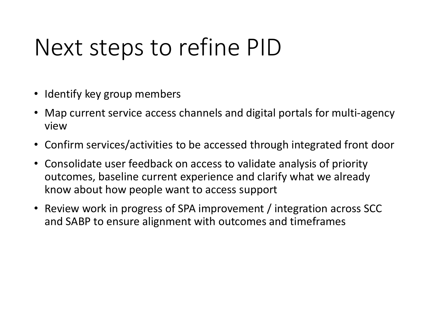### Next steps to refine PID

- Identify key group members
- Map current service access channels and digital portals for multi-agency view
- Confirm services/activities to be accessed through integrated front door
- Consolidate user feedback on access to validate analysis of priority outcomes, baseline current experience and clarify what we already know about how people want to access support
- Review work in progress of SPA improvement / integration across SCC and SABP to ensure alignment with outcomes and timeframes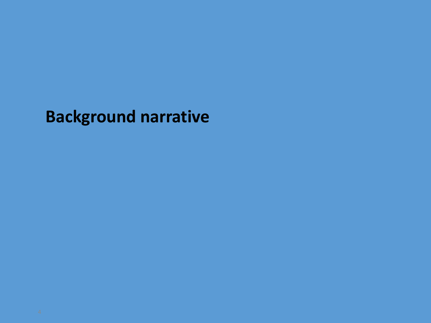**Background narrative**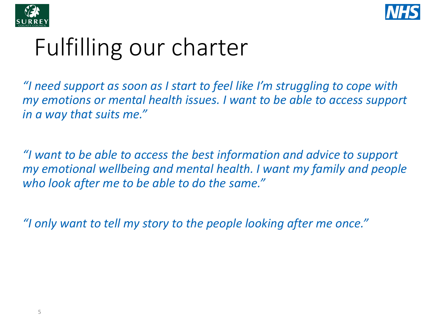



# Fulfilling our charter

*"I need support as soon as I start to feel like I'm struggling to cope with my emotions or mental health issues. I want to be able to access support in a way that suits me."*

*"I want to be able to access the best information and advice to support my emotional wellbeing and mental health. I want my family and people who look after me to be able to do the same."*

*"I only want to tell my story to the people looking after me once."*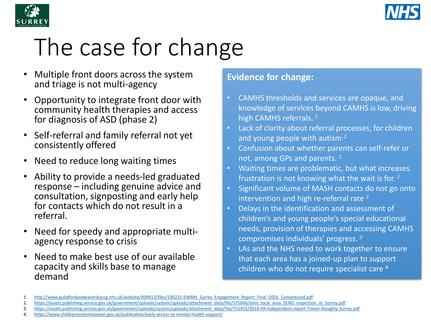



# The case for change

- Multiple front doors across the system and triage is not multi-agency
- Opportunity to integrate front door with community health therapies and access for diagnosis of ASD (phase 2)
- Self-referral and family referral not yet consistently offered
- Need to reduce long waiting times
- Ability to provide a needs-led graduated response – including genuine advice and consultation, signposting and early help for contacts which do not result in a referral.
- Need for speedy and appropriate multi- agency response to crisis
- Need to make best use of our available capacity and skills base to manage demand

#### **Evidence for change:**

- CAMHS thresholds and services are opaque, and knowledge of services beyond CAMHS is low, driving high CAMHS referrals. *<sup>1</sup>*
- Lack of clarity about referral processes, for children and young people with autism *<sup>2</sup>*
- Confusion about whether parents can self-refer or not, among GPs and parents. *<sup>1</sup>*
- Waiting times are problematic, but what increases frustration is not knowing what the wait is for. *<sup>1</sup>*
- Significant volume of MASH contacts do not go onto intervention and high re-referral rate *<sup>3</sup>*
- Delays in the identification and assessment of children's and young people's special educational needs, provision of therapies and accessing CAMHS compromises individuals' progress. *<sup>2</sup>*
- LAs and the NHS need to work together to ensure that each area has a joined-up plan to support children who do not require specialist care *4*

<sup>1.</sup> [http://www.guildfordandwaverleyccg.nhs.uk/website/X09413/files/190221-EWMH\\_Surrey\\_Engagement\\_Report\\_Final\\_DSDL\\_Compressed.pdf](http://www.guildfordandwaverleyccg.nhs.uk/website/X09413/files/190221-EWMH_Surrey_Engagement_Report_Final_DSDL_Compressed.pdf)

<sup>2.</sup> [https://assets.publishing.service.gov.uk/government/uploads/system/uploads/attachment\\_data/file/575666/Joint\\_local\\_area\\_SEND\\_inspection\\_in\\_Surrey.pdf](https://assets.publishing.service.gov.uk/government/uploads/system/uploads/attachment_data/file/575666/Joint_local_area_SEND_inspection_in_Surrey.pdf)

<sup>3.</sup> https://assets.publishing.service.gov.uk/government/uploads/system/uploads/attachment\_data/file/752455/2018-09-independent-report-Trevor-Doughty-Surrey.pdf

<sup>4.</sup> <https://www.childrenscommissioner.gov.uk/publication/early-access-to-mental-health-support/>